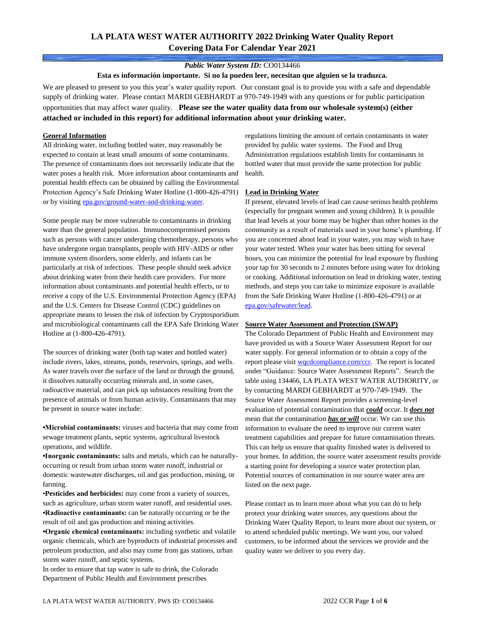# **LA PLATA WEST WATER AUTHORITY 2022 Drinking Water Quality Report Covering Data For Calendar Year 2021**

### *Public Water System ID:* CO0134466

**Esta es información importante. Si no la pueden leer, necesitan que alguien se la traduzca.**

We are pleased to present to you this year's water quality report. Our constant goal is to provide you with a safe and dependable supply of drinking water. Please contact MARDI GEBHARDT at 970-749-1949 with any questions or for public participation opportunities that may affect water quality. **Please see the water quality data from our wholesale system(s) (either attached or included in this report) for additional information about your drinking water.**

#### **General Information**

All drinking water, including bottled water, may reasonably be expected to contain at least small amounts of some contaminants. The presence of contaminants does not necessarily indicate that the water poses a health risk. More information about contaminants and potential health effects can be obtained by calling the Environmental Protection Agency's Safe Drinking Water Hotline (1-800-426-4791) or by visiting [epa.gov/ground-water-and-drinking-water.](https://www.epa.gov/ground-water-and-drinking-water)

Some people may be more vulnerable to contaminants in drinking water than the general population. Immunocompromised persons such as persons with cancer undergoing chemotherapy, persons who have undergone organ transplants, people with HIV-AIDS or other immune system disorders, some elderly, and infants can be particularly at risk of infections. These people should seek advice about drinking water from their health care providers. For more information about contaminants and potential health effects, or to receive a copy of the U.S. Environmental Protection Agency (EPA) and the U.S. Centers for Disease Control (CDC) guidelines on appropriate means to lessen the risk of infection by Cryptosporidium and microbiological contaminants call the EPA Safe Drinking Water Hotline at (1-800-426-4791).

The sources of drinking water (both tap water and bottled water) include rivers, lakes, streams, ponds, reservoirs, springs, and wells. As water travels over the surface of the land or through the ground, it dissolves naturally occurring minerals and, in some cases, radioactive material, and can pick up substances resulting from the presence of animals or from human activity. Contaminants that may be present in source water include:

**•Microbial contaminants:** viruses and bacteria that may come from sewage treatment plants, septic systems, agricultural livestock operations, and wildlife.

**•Inorganic contaminants:** salts and metals, which can be naturallyoccurring or result from urban storm water runoff, industrial or domestic wastewater discharges, oil and gas production, mining, or farming.

•**Pesticides and herbicides:** may come from a variety of sources, such as agriculture, urban storm water runoff, and residential uses. **•Radioactive contaminants:** can be naturally occurring or be the result of oil and gas production and mining activities.

**•Organic chemical contaminants:** including synthetic and volatile organic chemicals, which are byproducts of industrial processes and petroleum production, and also may come from gas stations, urban storm water runoff, and septic systems.

In order to ensure that tap water is safe to drink, the Colorado Department of Public Health and Environment prescribes

regulations limiting the amount of certain contaminants in water provided by public water systems. The Food and Drug Administration regulations establish limits for contaminants in bottled water that must provide the same protection for public health.

#### **Lead in Drinking Water**

If present, elevated levels of lead can cause serious health problems (especially for pregnant women and young children). It is possible that lead levels at your home may be higher than other homes in the community as a result of materials used in your home's plumbing. If you are concerned about lead in your water, you may wish to have your water tested. When your water has been sitting for several hours, you can minimize the potential for lead exposure by flushing your tap for 30 seconds to 2 minutes before using water for drinking or cooking. Additional information on lead in drinking water, testing methods, and steps you can take to minimize exposure is available from the Safe Drinking Water Hotline (1-800-426-4791) or at [epa.gov/safewater/lead.](http://www.epa.gov/safewater/lead) 

#### **Source Water Assessment and Protection (SWAP)**

The Colorado Department of Public Health and Environment may have provided us with a Source Water Assessment Report for our water supply. For general information or to obtain a copy of the report please visit [wqcdcompliance.com/ccr.](https://wqcdcompliance.com/ccr) The report is located under "Guidance: Source Water Assessment Reports". Search the table using 134466, LA PLATA WEST WATER AUTHORITY, or by contacting MARDI GEBHARDT at 970-749-1949. The Source Water Assessment Report provides a screening-level evaluation of potential contamination that *could* occur. It *does not* mean that the contamination *has or will* occur. We can use this information to evaluate the need to improve our current water treatment capabilities and prepare for future contamination threats. This can help us ensure that quality finished water is delivered to your homes. In addition, the source water assessment results provide a starting point for developing a source water protection plan. Potential sources of contamination in our source water area are listed on the next page.

Please contact us to learn more about what you can do to help protect your drinking water sources, any questions about the Drinking Water Quality Report, to learn more about our system, or to attend scheduled public meetings. We want you, our valued customers, to be informed about the services we provide and the quality water we deliver to you every day.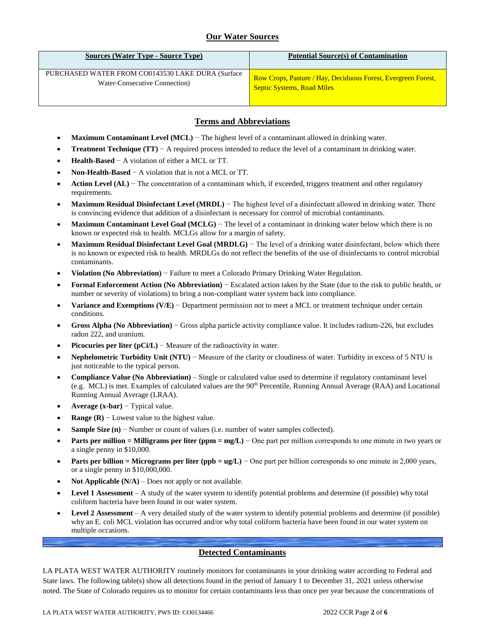# **Our Water Sources**

| <b>Sources (Water Type - Source Type)</b>         | <b>Potential Source</b> (s) of Contamination                  |
|---------------------------------------------------|---------------------------------------------------------------|
| PURCHASED WATER FROM CO0143530 LAKE DURA (Surface | Row Crops, Pasture / Hay, Deciduous Forest, Evergreen Forest, |
| Water-Consecutive Connection)                     | <b>Septic Systems, Road Miles</b>                             |

# **Terms and Abbreviations**

- **Maximum Contaminant Level (MCL)** − The highest level of a contaminant allowed in drinking water.
- **Treatment Technique (TT)** − A required process intended to reduce the level of a contaminant in drinking water.
- **Health-Based** − A violation of either a MCL or TT.
- **Non-Health-Based** − A violation that is not a MCL or TT.
- **Action Level (AL)** − The concentration of a contaminant which, if exceeded, triggers treatment and other regulatory requirements.
- **Maximum Residual Disinfectant Level (MRDL)** − The highest level of a disinfectant allowed in drinking water. There is convincing evidence that addition of a disinfectant is necessary for control of microbial contaminants.
- **Maximum Contaminant Level Goal (MCLG)** − The level of a contaminant in drinking water below which there is no known or expected risk to health. MCLGs allow for a margin of safety.
- **Maximum Residual Disinfectant Level Goal (MRDLG)** − The level of a drinking water disinfectant, below which there is no known or expected risk to health. MRDLGs do not reflect the benefits of the use of disinfectants to control microbial contaminants.
- **Violation (No Abbreviation)** − Failure to meet a Colorado Primary Drinking Water Regulation.
- **Formal Enforcement Action (No Abbreviation)** − Escalated action taken by the State (due to the risk to public health, or number or severity of violations) to bring a non-compliant water system back into compliance.
- **Variance and Exemptions (V/E)** − Department permission not to meet a MCL or treatment technique under certain conditions.
- **Gross Alpha (No Abbreviation)** − Gross alpha particle activity compliance value. It includes radium-226, but excludes radon 222, and uranium.
- **Picocuries per liter (pCi/L)** − Measure of the radioactivity in water.
- **Nephelometric Turbidity Unit (NTU)** − Measure of the clarity or cloudiness of water. Turbidity in excess of 5 NTU is just noticeable to the typical person.
- **Compliance Value (No Abbreviation)** Single or calculated value used to determine if regulatory contaminant level (e.g. MCL) is met. Examples of calculated values are the 90<sup>th</sup> Percentile, Running Annual Average (RAA) and Locational Running Annual Average (LRAA).
- **Average (x-bar)** − Typical value.
- **Range (R)** − Lowest value to the highest value.
- **Sample Size (n)** − Number or count of values (i.e. number of water samples collected).
- **Parts per million = Milligrams per liter (ppm = mg/L)** − One part per million corresponds to one minute in two years or a single penny in \$10,000.
- **Parts per billion = Micrograms per liter (ppb = ug/L)** − One part per billion corresponds to one minute in 2,000 years, or a single penny in \$10,000,000.
- **Not Applicable (N/A)** Does not apply or not available.
- **Level 1 Assessment** A study of the water system to identify potential problems and determine (if possible) why total coliform bacteria have been found in our water system.
- **Level 2 Assessment** A very detailed study of the water system to identify potential problems and determine (if possible) why an E. coli MCL violation has occurred and/or why total coliform bacteria have been found in our water system on multiple occasions.

### **Detected Contaminants**

LA PLATA WEST WATER AUTHORITY routinely monitors for contaminants in your drinking water according to Federal and State laws. The following table(s) show all detections found in the period of January 1 to December 31, 2021 unless otherwise noted. The State of Colorado requires us to monitor for certain contaminants less than once per year because the concentrations of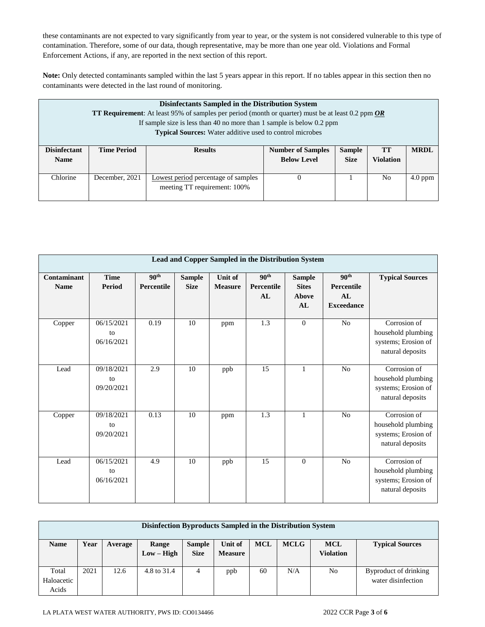these contaminants are not expected to vary significantly from year to year, or the system is not considered vulnerable to this type of contamination. Therefore, some of our data, though representative, may be more than one year old. Violations and Formal Enforcement Actions, if any, are reported in the next section of this report.

**Note:** Only detected contaminants sampled within the last 5 years appear in this report. If no tables appear in this section then no contaminants were detected in the last round of monitoring.

| Disinfectants Sampled in the Distribution System<br><b>TT Requirement:</b> At least 95% of samples per period (month or quarter) must be at least 0.2 ppm $OR$<br>If sample size is less than 40 no more than 1 sample is below 0.2 ppm<br><b>Typical Sources:</b> Water additive used to control microbes |                    |                                     |                          |               |                  |             |  |  |
|------------------------------------------------------------------------------------------------------------------------------------------------------------------------------------------------------------------------------------------------------------------------------------------------------------|--------------------|-------------------------------------|--------------------------|---------------|------------------|-------------|--|--|
| <b>Disinfectant</b>                                                                                                                                                                                                                                                                                        | <b>Time Period</b> | <b>Results</b>                      | <b>Number of Samples</b> | <b>Sample</b> | <b>TT</b>        | <b>MRDL</b> |  |  |
| <b>Name</b>                                                                                                                                                                                                                                                                                                |                    |                                     | <b>Below Level</b>       | <b>Size</b>   | <b>Violation</b> |             |  |  |
| Chlorine                                                                                                                                                                                                                                                                                                   | December, 2021     | Lowest period percentage of samples |                          |               | No.              | $4.0$ ppm   |  |  |
|                                                                                                                                                                                                                                                                                                            |                    | meeting TT requirement: 100%        |                          |               |                  |             |  |  |

| Lead and Copper Sampled in the Distribution System |                                |                                |                              |                                  |                                      |                                              |                                                           |                                                                               |
|----------------------------------------------------|--------------------------------|--------------------------------|------------------------------|----------------------------------|--------------------------------------|----------------------------------------------|-----------------------------------------------------------|-------------------------------------------------------------------------------|
| Contaminant<br><b>Name</b>                         | <b>Time</b><br>Period          | 90 <sup>th</sup><br>Percentile | <b>Sample</b><br><b>Size</b> | <b>Unit of</b><br><b>Measure</b> | 90 <sup>th</sup><br>Percentile<br>AL | <b>Sample</b><br><b>Sites</b><br>Above<br>AL | 90 <sup>th</sup><br>Percentile<br>AL<br><b>Exceedance</b> | <b>Typical Sources</b>                                                        |
| Copper                                             | 06/15/2021<br>to<br>06/16/2021 | 0.19                           | 10                           | ppm                              | 1.3                                  | $\theta$                                     | N <sub>o</sub>                                            | Corrosion of<br>household plumbing<br>systems; Erosion of<br>natural deposits |
| Lead                                               | 09/18/2021<br>to<br>09/20/2021 | 2.9                            | 10                           | ppb                              | 15                                   | $\mathbf{1}$                                 | No                                                        | Corrosion of<br>household plumbing<br>systems; Erosion of<br>natural deposits |
| Copper                                             | 09/18/2021<br>to<br>09/20/2021 | 0.13                           | 10                           | ppm                              | 1.3                                  | $\mathbf{1}$                                 | N <sub>o</sub>                                            | Corrosion of<br>household plumbing<br>systems; Erosion of<br>natural deposits |
| Lead                                               | 06/15/2021<br>to<br>06/16/2021 | 4.9                            | 10                           | ppb                              | 15                                   | $\theta$                                     | N <sub>o</sub>                                            | Corrosion of<br>household plumbing<br>systems; Erosion of<br>natural deposits |

| Disinfection Byproducts Sampled in the Distribution System |      |         |                       |                              |                           |            |             |                                |                                             |
|------------------------------------------------------------|------|---------|-----------------------|------------------------------|---------------------------|------------|-------------|--------------------------------|---------------------------------------------|
| <b>Name</b>                                                | Year | Average | Range<br>$Low - High$ | <b>Sample</b><br><b>Size</b> | Unit of<br><b>Measure</b> | <b>MCL</b> | <b>MCLG</b> | <b>MCL</b><br><b>Violation</b> | <b>Typical Sources</b>                      |
| Total<br>Haloacetic<br>Acids                               | 2021 | 12.6    | 4.8 to 31.4           | 4                            | ppb                       | 60         | N/A         | No                             | Byproduct of drinking<br>water disinfection |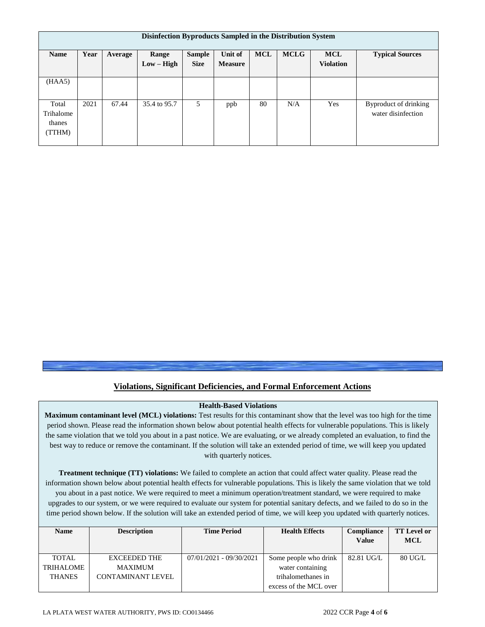| Disinfection Byproducts Sampled in the Distribution System |      |         |                       |                              |                           |            |             |                                |                                             |
|------------------------------------------------------------|------|---------|-----------------------|------------------------------|---------------------------|------------|-------------|--------------------------------|---------------------------------------------|
| <b>Name</b>                                                | Year | Average | Range<br>$Low - High$ | <b>Sample</b><br><b>Size</b> | Unit of<br><b>Measure</b> | <b>MCL</b> | <b>MCLG</b> | <b>MCL</b><br><b>Violation</b> | <b>Typical Sources</b>                      |
| (HAA5)                                                     |      |         |                       |                              |                           |            |             |                                |                                             |
| Total<br>Trihalome<br>thanes<br>(TTHM)                     | 2021 | 67.44   | 35.4 to 95.7          | 5                            | ppb                       | 80         | N/A         | Yes                            | Byproduct of drinking<br>water disinfection |

### **Violations, Significant Deficiencies, and Formal Enforcement Actions**

### **Health-Based Violations**

**Maximum contaminant level (MCL) violations:** Test results for this contaminant show that the level was too high for the time period shown. Please read the information shown below about potential health effects for vulnerable populations. This is likely the same violation that we told you about in a past notice. We are evaluating, or we already completed an evaluation, to find the best way to reduce or remove the contaminant. If the solution will take an extended period of time, we will keep you updated with quarterly notices.

**Treatment technique (TT) violations:** We failed to complete an action that could affect water quality. Please read the information shown below about potential health effects for vulnerable populations. This is likely the same violation that we told you about in a past notice. We were required to meet a minimum operation/treatment standard, we were required to make upgrades to our system, or we were required to evaluate our system for potential sanitary defects, and we failed to do so in the time period shown below. If the solution will take an extended period of time, we will keep you updated with quarterly notices.

| <b>Name</b>   | <b>Description</b>       | <b>Time Period</b>        | <b>Health Effects</b>  | <b>Compliance</b> | <b>TT Level or</b> |
|---------------|--------------------------|---------------------------|------------------------|-------------------|--------------------|
|               |                          |                           |                        | <b>Value</b>      | <b>MCL</b>         |
|               |                          |                           |                        |                   |                    |
| TOTAL         | <b>EXCEEDED THE</b>      | $07/01/2021 - 09/30/2021$ | Some people who drink  | 82.81 UG/L        | 80 UG/L            |
| TRIHALOME     | <b>MAXIMUM</b>           |                           | water containing       |                   |                    |
| <b>THANES</b> | <b>CONTAMINANT LEVEL</b> |                           | trihalomethanes in     |                   |                    |
|               |                          |                           | excess of the MCL over |                   |                    |